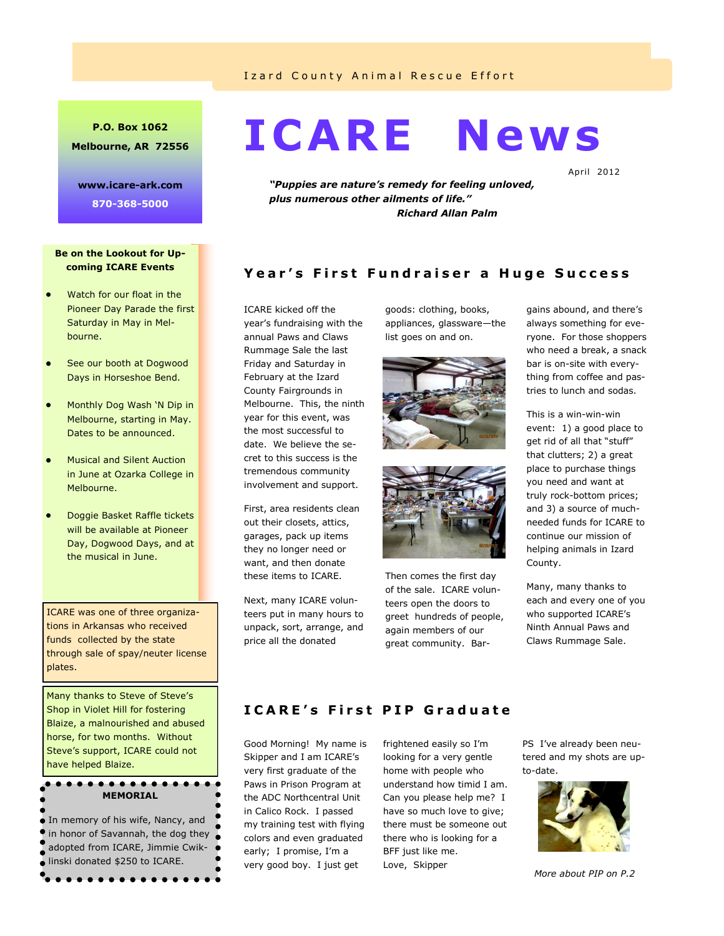#### Izard County Animal Rescue Effort

## **P.O. Box 1062 Melbourne, AR 72556**

**www.icare-ark.com 870-368-5000** 

#### **Be on the Lookout for Upcoming ICARE Events**

- Watch for our float in the Pioneer Day Parade the first Saturday in May in Melbourne.
- See our booth at Dogwood Days in Horseshoe Bend.
- Monthly Dog Wash 'N Dip in Melbourne, starting in May. Dates to be announced.
- Musical and Silent Auction in June at Ozarka College in Melbourne.
- Doggie Basket Raffle tickets will be available at Pioneer Day, Dogwood Days, and at the musical in June.

ICARE was one of three organizations in Arkansas who received funds collected by the state through sale of spay/neuter license plates.

Many thanks to Steve of Steve's Shop in Violet Hill for fostering Blaize, a malnourished and abused horse, for two months. Without Steve's support, ICARE could not have helped Blaize.

## $$ **MEMORIAL**

**In memory of his wife, Nancy, and** in honor of Savannah, the dog they adopted from ICARE, Jimmie Cwiklinski donated \$250 to ICARE. . . . . . . . . . . . . . .

# **ICARE News**

April 2012

*"Puppies are nature's remedy for feeling unloved, plus numerous other ailments of life." Richard Allan Palm*

# **Year's First Fundraiser a Huge Success**

ICARE kicked off the year's fundraising with the annual Paws and Claws Rummage Sale the last Friday and Saturday in February at the Izard County Fairgrounds in Melbourne. This, the ninth year for this event, was the most successful to date. We believe the secret to this success is the tremendous community involvement and support.

First, area residents clean out their closets, attics, garages, pack up items they no longer need or want, and then donate these items to ICARE.

Next, many ICARE volunteers put in many hours to unpack, sort, arrange, and price all the donated

goods: clothing, books, appliances, glassware—the list goes on and on.





Then comes the first day of the sale. ICARE volunteers open the doors to greet hundreds of people, again members of our great community. Bargains abound, and there's always something for everyone. For those shoppers who need a break, a snack bar is on-site with everything from coffee and pastries to lunch and sodas.

This is a win-win-win event: 1) a good place to get rid of all that "stuff" that clutters; 2) a great place to purchase things you need and want at truly rock-bottom prices; and 3) a source of muchneeded funds for ICARE to continue our mission of helping animals in Izard County.

Many, many thanks to each and every one of you who supported ICARE's Ninth Annual Paws and Claws Rummage Sale.

# **I C A R E ' s F i r s t P I P G r a d u a t e**

Good Morning! My name is Skipper and I am ICARE's very first graduate of the Paws in Prison Program at the ADC Northcentral Unit in Calico Rock. I passed my training test with flying colors and even graduated early; I promise, I'm a very good boy. I just get

frightened easily so I'm looking for a very gentle home with people who understand how timid I am. Can you please help me? I have so much love to give; there must be someone out there who is looking for a BFF just like me. Love, Skipper

PS I've already been neutered and my shots are upto-date.



*More about PIP on P.2*